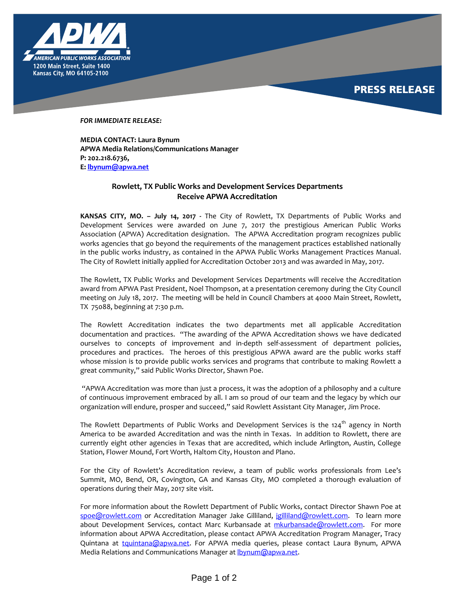

*FOR IMMEDIATE RELEASE:* 

**MEDIA CONTACT: Laura Bynum APWA Media Relations/Communications Manager P: 202.218.6736, E: [lbynum@apwa.net](mailto:lbynum@apwa.net)**

## **Rowlett, TX Public Works and Development Services Departments Receive APWA Accreditation**

**KANSAS CITY, MO. – July 14, 2017 -** The City of Rowlett, TX Departments of Public Works and Development Services were awarded on June 7, 2017 the prestigious American Public Works Association (APWA) Accreditation designation. The APWA Accreditation program recognizes public works agencies that go beyond the requirements of the management practices established nationally in the public works industry, as contained in the APWA Public Works Management Practices Manual. The City of Rowlett initially applied for Accreditation October 2013 and was awarded in May, 2017.

The Rowlett, TX Public Works and Development Services Departments will receive the Accreditation award from APWA Past President, Noel Thompson, at a presentation ceremony during the City Council meeting on July 18, 2017. The meeting will be held in Council Chambers at 4000 Main Street, Rowlett, TX 75088, beginning at 7:30 p.m.

The Rowlett Accreditati0n indicates the two departments met all applicable Accreditation documentation and practices. "The awarding of the APWA Accreditation shows we have dedicated ourselves to concepts of improvement and in-depth self-assessment of department policies, procedures and practices. The heroes of this prestigious APWA award are the public works staff whose mission is to provide public works services and programs that contribute to making Rowlett a great community," said Public Works Director, Shawn Poe.

"APWA Accreditation was more than just a process, it was the adoption of a philosophy and a culture of continuous improvement embraced by all. I am so proud of our team and the legacy by which our organization will endure, prosper and succeed," said Rowlett Assistant City Manager, Jim Proce.

The Rowlett Departments of Public Works and Development Services is the 124<sup>th</sup> agency in North America to be awarded Accreditation and was the ninth in Texas. In addition to Rowlett, there are currently eight other agencies in Texas that are accredited, which include Arlington, Austin, College Station, Flower Mound, Fort Worth, Haltom City, Houston and Plano.

For the City of Rowlett's Accreditation review, a team of public works professionals from Lee's Summit, MO, Bend, OR, Covington, GA and Kansas City, MO completed a thorough evaluation of operations during their May, 2017 site visit.

For more information about the Rowlett Department of Public Works, contact Director Shawn Poe at [spoe@rowlett.com](mailto:spoe@rowlett.com) or Accreditation Manager Jake Gilliland, [jgilliland@rowlett.com.](mailto:jgilliland@rowlett.com) To learn more about Development Services, contact Marc Kurbansade at [mkurbansade@rowlett.com.](mailto:mkurbansade@rowlett.com) For more information about APWA Accreditation, please contact APWA Accreditation Program Manager, Tracy Quintana at [tquintana@apwa.net.](mailto:tquintana@apwa.net) For APWA media queries, please contact Laura Bynum, APWA Media Relations and Communications Manager at **bynum@apwa.net**.